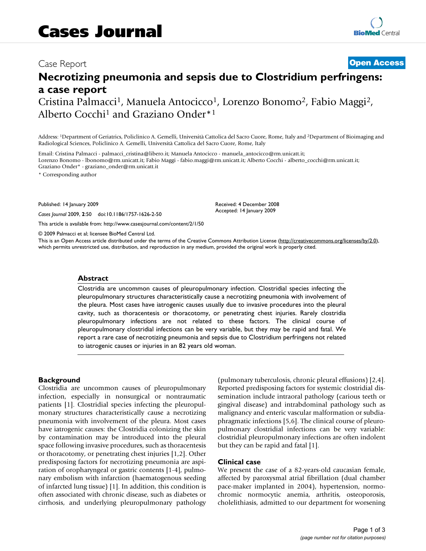## Case Report **[Open Access](http://www.biomedcentral.com/info/about/charter/)**

# **Necrotizing pneumonia and sepsis due to Clostridium perfringens: a case report**

Cristina Palmacci<sup>1</sup>, Manuela Antocicco<sup>1</sup>, Lorenzo Bonomo<sup>2</sup>, Fabio Maggi<sup>2</sup>, Alberto Cocchi<sup>1</sup> and Graziano Onder<sup>\*1</sup>

Address: 1Department of Geriatrics, Policlinico A. Gemelli, Università Cattolica del Sacro Cuore, Rome, Italy and 2Department of Bioimaging and Radiological Sciences, Policlinico A. Gemelli, Università Cattolica del Sacro Cuore, Rome, Italy

Email: Cristina Palmacci - palmacci\_cristina@libero.it; Manuela Antocicco - manuela\_antocicco@rm.unicatt.it; Lorenzo Bonomo - lbonomo@rm.unicatt.it; Fabio Maggi - fabio.maggi@rm.unicatt.it; Alberto Cocchi - alberto\_cocchi@rm.unicatt.it; Graziano Onder\* - graziano\_onder@rm.unicatt.it

\* Corresponding author

Published: 14 January 2009

*Cases Journal* 2009, **2**:50 doi:10.1186/1757-1626-2-50

[This article is available from: http://www.casesjournal.com/content/2/1/50](http://www.casesjournal.com/content/2/1/50)

© 2009 Palmacci et al; licensee BioMed Central Ltd.

This is an Open Access article distributed under the terms of the Creative Commons Attribution License [\(http://creativecommons.org/licenses/by/2.0\)](http://creativecommons.org/licenses/by/2.0), which permits unrestricted use, distribution, and reproduction in any medium, provided the original work is properly cited.

Received: 4 December 2008 Accepted: 14 January 2009

#### **Abstract**

Clostridia are uncommon causes of pleuropulmonary infection. Clostridial species infecting the pleuropulmonary structures characteristically cause a necrotizing pneumonia with involvement of the pleura. Most cases have iatrogenic causes usually due to invasive procedures into the pleural cavity, such as thoracentesis or thoracotomy, or penetrating chest injuries. Rarely clostridia pleuropulmonary infections are not related to these factors. The clinical course of pleuropulmonary clostridial infections can be very variable, but they may be rapid and fatal. We report a rare case of necrotizing pneumonia and sepsis due to Clostridium perfringens not related to iatrogenic causes or injuries in an 82 years old woman.

#### **Background**

Clostridia are uncommon causes of pleuropulmonary infection, especially in nonsurgical or nontraumatic patients [1]. Clostridial species infecting the pleuropulmonary structures characteristically cause a necrotizing pneumonia with involvement of the pleura. Most cases have iatrogenic causes: the Clostridia colonizing the skin by contamination may be introduced into the pleural space following invasive procedures, such as thoracentesis or thoracotomy, or penetrating chest injuries [1,2]. Other predisposing factors for necrotizing pneumonia are aspiration of oropharyngeal or gastric contents [1-4], pulmonary embolism with infarction (haematogenous seeding of infarcted lung tissue) [1]. In addition, this condition is often associated with chronic disease, such as diabetes or cirrhosis, and underlying pleuropulmonary pathology (pulmonary tuberculosis, chronic pleural effusions) [2,4]. Reported predisposing factors for systemic clostridial dissemination include intraoral pathology (carious teeth or gingival disease) and intrabdominal pathology such as malignancy and enteric vascular malformation or subdiaphragmatic infections [5,6]. The clinical course of pleuropulmonary clostridial infections can be very variable: clostridial pleuropulmonary infections are often indolent but they can be rapid and fatal [1].

#### **Clinical case**

We present the case of a 82-years-old caucasian female, affected by paroxysmal atrial fibrillation (dual chamber pace-maker implanted in 2004), hypertension, normochromic normocytic anemia, arthritis, osteoporosis, cholelithiasis, admitted to our department for worsening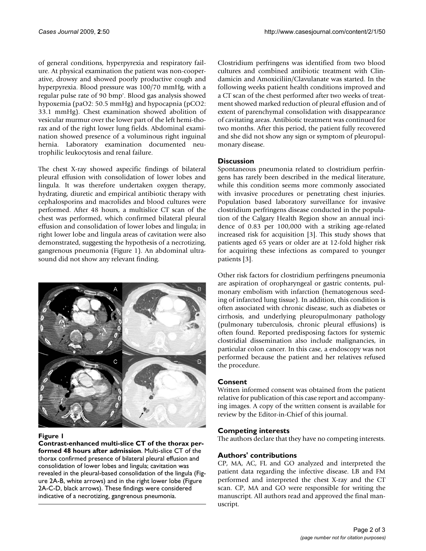of general conditions, hyperpyrexia and respiratory failure. At physical examination the patient was non-cooperative, drowsy and showed poorly productive cough and hyperpyrexia. Blood pressure was 100/70 mmHg, with a regular pulse rate of 90 bmp'. Blood gas analysis showed hypoxemia (paO2: 50.5 mmHg) and hypocapnia (pCO2: 33.1 mmHg). Chest examination showed abolition of vesicular murmur over the lower part of the left hemi-thorax and of the right lower lung fields. Abdominal examination showed presence of a voluminous right inguinal hernia. Laboratory examination documented neutrophilic leukocytosis and renal failure.

The chest X-ray showed aspecific findings of bilateral pleural effusion with consolidation of lower lobes and lingula. It was therefore undertaken oxygen therapy, hydrating, diuretic and empirical antibiotic therapy with cephalosporins and macrolides and blood cultures were performed. After 48 hours, a multislice CT scan of the chest was performed, which confirmed bilateral pleural effusion and consolidation of lower lobes and lingula; in right lower lobe and lingula areas of cavitation were also demonstrated, suggesting the hypothesis of a necrotizing, gangrenous pneumonia (Figure 1). An abdominal ultrasound did not show any relevant finding.



#### Figure 1

**Contrast-enhanced multi-slice CT of the thorax performed 48 hours after admission**. Multi-slice CT of the thorax confirmed presence of bilateral pleural effusion and consolidation of lower lobes and lingula; cavitation was revealed in the pleural-based consolidation of the lingula (Figure 2A-B, white arrows) and in the right lower lobe (Figure 2A-C-D, black arrows). These findings were considered indicative of a necrotizing, gangrenous pneumonia.

Clostridium perfringens was identified from two blood cultures and combined antibiotic treatment with Clindamicin and Amoxiciliin/Clavulanate was started. In the following weeks patient health conditions improved and a CT scan of the chest performed after two weeks of treatment showed marked reduction of pleural effusion and of extent of parenchymal consolidation with disappearance of cavitating areas. Antibiotic treatment was continued for two months. After this period, the patient fully recovered and she did not show any sign or symptom of pleuropulmonary disease.

#### **Discussion**

Spontaneous pneumonia related to clostridium perfringens has rarely been described in the medical literature, while this condition seems more commonly associated with invasive procedures or penetrating chest injuries. Population based laboratory surveillance for invasive clostridium perfringens disease conducted in the population of the Calgary Health Region show an annual incidence of 0.83 per 100,000 with a striking age-related increased risk for acquisition [3]. This study shows that patients aged 65 years or older are at 12-fold higher risk for acquiring these infections as compared to younger patients [3].

Other risk factors for clostridium perfringens pneumonia are aspiration of oropharyngeal or gastric contents, pulmonary embolism with infarction (hematogenous seeding of infarcted lung tissue). In addition, this condition is often associated with chronic disease, such as diabetes or cirrhosis, and underlying pleuropulmonary pathology (pulmonary tuberculosis, chronic pleural effusions) is often found. Reported predisposing factors for systemic clostridial dissemination also include malignancies, in particular colon cancer. In this case, a endoscopy was not performed because the patient and her relatives refused the procedure.

#### **Consent**

Written informed consent was obtained from the patient relative for publication of this case report and accompanying images. A copy of the written consent is available for review by the Editor-in-Chief of this journal.

### **Competing interests**

The authors declare that they have no competing interests.

#### **Authors' contributions**

CP, MA, AC, FL and GO analyzed and interpreted the patient data regarding the infective disease. LB and FM performed and interpreted the chest X-ray and the CT scan. CP, MA and GO were responsible for writing the manuscript. All authors read and approved the final manuscript.